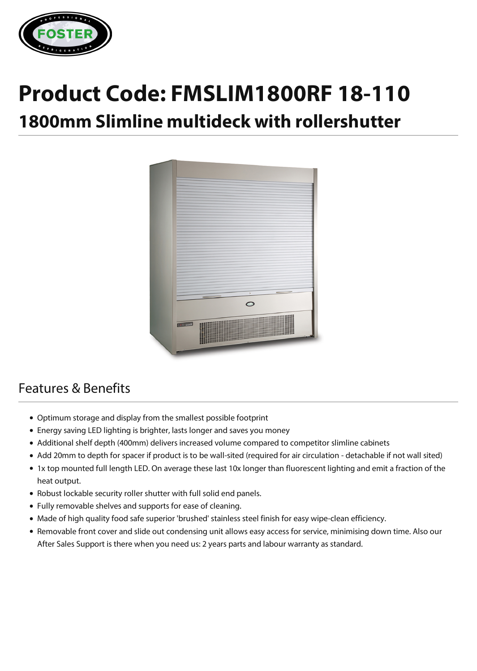

## **Product Code: FMSLIM1800RF 18-110 1800mm Slimline multideck with rollershutter**



## Features & Benefits

- Optimum storage and display from the smallest possible footprint
- Energy saving LED lighting is brighter, lasts longer and saves you money
- Additional shelf depth (400mm) delivers increased volume compared to competitor slimline cabinets
- Add 20mm to depth for spacer if product is to be wall-sited (required for air circulation detachable if not wall sited)
- 1x top mounted full length LED. On average these last 10x longer than fluorescent lighting and emit a fraction of the heat output.
- Robust lockable security roller shutter with full solid end panels.
- Fully removable shelves and supports for ease of cleaning.
- Made of high quality food safe superior 'brushed' stainless steel finish for easy wipe-clean efficiency.
- Removable front cover and slide out condensing unit allows easy access for service, minimising down time. Also our After Sales Support is there when you need us: 2 years parts and labour warranty as standard.